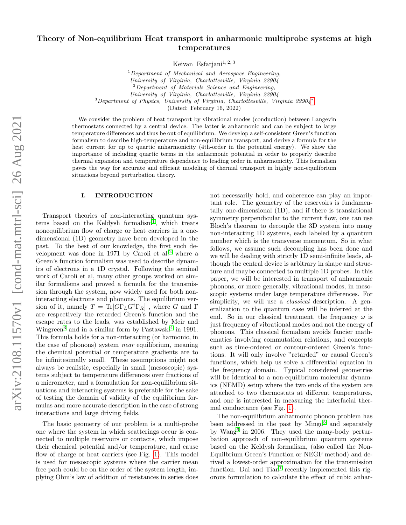# Theory of Non-equilibrium Heat transport in anharmonic multiprobe systems at high temperatures

Keivan Esfariani $1, 2, 3$ 

 $1$ Department of Mechanical and Aerospace Engineering, University of Virginia, Charlottesville, Virginia 22904  $2$ Department of Materials Science and Engineering, University of Virginia, Charlottesville, Virginia 22904 <sup>3</sup>Department of Physics, University of Virginia, Charlottesville, Virginia 22904[∗](#page-12-0)

(Dated: February 16, 2022)

We consider the problem of heat transport by vibrational modes (conduction) between Langevin thermostats connected by a central device. The latter is anharmonic and can be subject to large temperature differences and thus be out of equilibrium. We develop a self-consistent Green's function formalism to describe high-temperature and non-equilibrium transport, and derive a formula for the heat current for up to quartic anharmonicity (4th-order in the potential energy). We show the importance of including quartic terms in the anharmonic potential in order to properly describe thermal expansion and temperature dependence to leading order in anharmonicity. This formalism paves the way for accurate and efficient modeling of thermal transport in highly non-equilibrium situations beyond perturbation theory.

## I. INTRODUCTION

Transport theories of non-interacting quantum sys $tems$  based on the Keldysh formalism<sup>[1](#page-12-1)</sup>, which treats nonequilibrium flow of charge or heat carriers in a onedimensional (1D) geometry have been developed in the past. To the best of our knowledge, the first such de-velopment was done in 1971 by Caroli et al.<sup>[2](#page-12-2)</sup> where a Green's function formalism was used to describe dynamics of electrons in a 1D crystal. Following the seminal work of Caroli et al, many other groups worked on similar formalisms and proved a formula for the transmission through the system, now widely used for both noninteracting electrons and phonons. The equilibrium version of it, namely  $T = \text{Tr}[G\Gamma_L G^{\dagger} \Gamma_R]$ , where G and  $\Gamma$ are respectively the retarded Green's function and the escape rates to the leads, was established by Meir and Wingreen<sup>[3](#page-12-3)</sup> and in a similar form by Pastawski<sup>[4](#page-12-4)</sup> in 1991. This formula holds for a non-interacting (or harmonic, in the case of phonons) system near equilibrium, meaning the chemical potential or temperature gradients are to be infinitesimally small. These assumptions might not always be realistic, especially in small (mesoscopic) systems subject to temperature differences over fractions of a micrometer, and a formulation for non-equilibrium situations and interacting systems is preferable for the sake of testing the domain of validity of the equilibrium formulas and more accurate description in the case of strong interactions and large driving fields.

The basic geometry of our problem is a multi-probe one where the system in which scatterings occur is connected to multiple reservoirs or contacts, which impose their chemical potential and/or temperature, and cause flow of charge or heat carriers (see Fig. [1\)](#page-1-0). This model is used for mesoscopic systems where the carrier mean free path could be on the order of the system length, implying Ohm's law of addition of resistances in series does

not necessarily hold, and coherence can play an important role. The geometry of the reservoirs is fundamentally one-dimensional (1D), and if there is translational symmetry perpendicular to the current flow, one can use Bloch's theorem to decouple the 3D system into many non-interacting 1D systems, each labeled by a quantum number which is the transverse momentum. So in what follows, we assume such decoupling has been done and we will be dealing with strictly 1D semi-infinite leads, although the central device is arbitrary in shape and structure and maybe connected to multiple 1D probes. In this paper, we will be interested in transport of anharmonic phonons, or more generally, vibrational modes, in mesoscopic systems under large temperature differences. For simplicity, we will use a *classical* description. A generalization to the quantum case will be inferred at the end. So in our classical treatment, the frequency  $\omega$  is just frequency of vibrational modes and not the energy of phonons. This classical formalism avoids fancier mathematics involving commutation relations, and concepts such as time-ordered or contour-ordered Green's functions. It will only involve "retarded" or causal Green's functions, which help us solve a differential equation in the frequency domain. Typical considered geometries will be identical to a non-equilibrium molecular dynamics (NEMD) setup where the two ends of the system are attached to two thermostats at different temperatures, and one is interested in measuring the interfacial thermal conductance (see Fig. [1\)](#page-1-0).

The non-equilibrium anharmonic phonon problem has been addressed in the past by  $Mingo<sup>5</sup>$  $Mingo<sup>5</sup>$  $Mingo<sup>5</sup>$  and separately by Wang[6](#page-12-6) in 2006. They used the many-body perturbation approach of non-equilibrium quantum systems based on the Keldysh formalism, (also called the Non-Equilbrium Green's Function or NEGF method) and derived a lowest-order approximation for the transmission function. Dai and Tian<sup>[7](#page-12-7)</sup> recently implemented this rigorous formulation to calculate the effect of cubic anhar-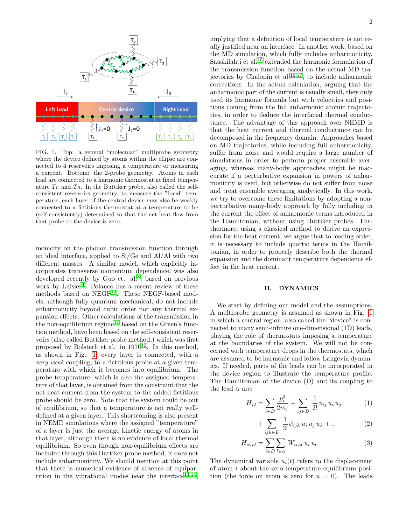

<span id="page-1-0"></span>FIG. 1. Top: a general "molecular" multiprobe geometry where the device defined by atoms within the ellipse are connected to 4 reservoirs imposing a temperature or measuring a current. Bottom: the 2-probe geometry. Atoms in each lead are connected to a harmonic thermostat at fixed temperature  $T_L$  and  $T_R$ . In the Buttiker probe, also called the selfconsistent reservoirs geometry, to measure the "local" temperature, each layer of the central device may also be weakly connected to a fictitious thermostat at a temperature to be (self-consistently) determined so that the net heat flow from that probe to the device is zero.

monicity on the phonon transmission function through an ideal interface, applied to Si/Ge and Al/Al with two different masses. A similar model, which explicitly incorporates transverse momentum dependence, was also developed recently by Guo et.  $al.^8$  $al.^8$ , based on previous work by Luisier<sup>[9](#page-12-9)</sup>. Polanco has a recent review of these methods based on  $NEGF^{10}$  $NEGF^{10}$  $NEGF^{10}$ . These NEGF-based models, although fully quantum mechanical, do not include anharmonicity beyond cubic order nor any thermal expansion effects. Other calculations of the transmission in the non-equilibrium regime<sup>[11](#page-12-11)</sup> based on the Green's function method, have been based on the self-consistent reservoirs (also called Buttiker probe method,) which was first proposed by Bolsterli et al. in  $1970^{12}$  $1970^{12}$  $1970^{12}$ . In this method, as shown in Fig. [1,](#page-1-0) every layer is connected, with a very weak coupling, to a fictitious probe at a given temperature with which it becomes into equilibrium. The probe temperature, which is also the assigned temperature of that layer, is obtained from the constraint that the net heat current from the system to the added fictitious probe should be zero. Note that the system could be out of equilibrium, so that a temperature is not really welldefined at a given layer. This shortcoming is also present in NEMD simulations where the assigned "temperature" of a layer is just the average kinetic energy of atoms in that layer, although there is no evidence of local thermal equilibrium. So even though non-equilibrium effects are included through this Buttiker probe method, it does not include anharmonicity. We should mention at this point that there is numerical evidence of absence of equipartition in the vibrational modes near the interface  $13,14$  $13,14$ ,

implying that a definition of local temperature is not really justified near an interface. In another work, based on the MD simulation, which fully includes anharmonicity, Saaskilahti et al.[15](#page-13-3) extended the harmonic formulation of the transmission function based on the actual MD tra-jectories by Chalopin et al.<sup>[16,](#page-13-4)[17](#page-13-5)</sup>, to include anharmonic corrections. In the actual calculation, arguing that the anharmonic part of the current is usually small, they only used its harmonic formula but with velocities and positions coming from the full anharmonic atomic trajectories, in order to deduce the interfacial thermal conductance. The advantage of this approach over NEMD is that the heat current and thermal conductance can be decomposed in the frequency domain. Approaches based on MD trajectories, while including full anharmonicity, suffer from noise and would require a large number of simulations in order to perform proper ensemble averaging, whereas many-body approaches might be inaccurate if a perturbative expansion in powers of anharmonicity is used, but otherwise do not suffer from noise and treat ensemble averaging analytically. In this work, we try to overcome these limitations by adopting a nonperturbative many-body approach by fully including in the current the effect of anharmonic terms introduced in the Hamiltonian, without using Buttiker probes. Furthermore, using a classical method to derive an expression for the heat current, we argue that to leading order, it is necessary to include quartic terms in the Hamiltonian, in order to properly describe both the thermal expansion and the dominant temperature dependence effect in the heat current.

### II. DYNAMICS

We start by defining our model and the assumptions. A multiprobe geometry is assumed as shown in Fig. [1](#page-1-0) in which a central region, also called the "device" is connected to many semi-infinite one-dimensional (1D) leads, playing the role of thermostats imposing a temperature at the boundaries of the system. We will not be concerned with temperature drops in the thermostats, which are assumed to be harmonic and follow Langevin dynamics. If needed, parts of the leads can be incorporated in the device region to illustrate the temperature profile. The Hamiltonian of the device (D) and its coupling to the lead  $\alpha$  are:

$$
H_D = \sum_{i \in D} \frac{p_i^2}{2m_i} + \sum_{ij \in D} \frac{1}{2!} \phi_{ij} u_i u_j \tag{1}
$$

$$
+\sum_{ijk\in D}\frac{1}{3!}\psi_{ijk}\,u_i\,u_j\,u_k+...\qquad (2)
$$

$$
H_{\alpha,D} = \sum_{i \in D} \sum_{l \in \alpha} W_{\alpha,il} u_i u_l \tag{3}
$$

The dynamical variable  $u_i(t)$  refers to the displacement of atom i about the zero-temperature equilibrium position (the force on atom is zero for  $u = 0$ ). The leads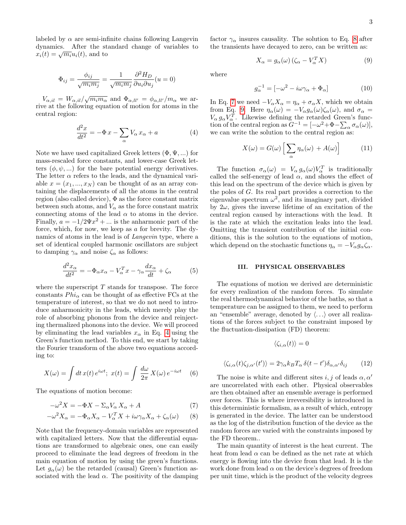labeled by  $\alpha$  are semi-infinite chains following Langevin dynamics. After the standard change of variables to  $x_i(t) = \sqrt{m_i} u_i(t)$ , and to

$$
\Phi_{ij} = \frac{\phi_{ij}}{\sqrt{m_i m_j}} = \frac{1}{\sqrt{m_i m_j}} \frac{\partial^2 H_D}{\partial u_i \partial u_j} (u = 0)
$$

 $V_{\alpha,il} = W_{\alpha,il}/\sqrt{m_i m_\alpha}$  and  $\Phi_{\alpha,ll'} = \phi_{\alpha,ll'}/m_\alpha$  we arrive at the following equation of motion for atoms in the central region:

<span id="page-2-0"></span>
$$
\frac{d^2x}{dt^2} = -\Phi x - \sum_{\alpha} V_{\alpha} x_{\alpha} + a \tag{4}
$$

Note we have used capitalized Greek letters  $(\Phi, \Psi, ...)$  for mass-rescaled force constants, and lower-case Greek letters  $(\phi, \psi, \ldots)$  for the bare potential energy derivatives. The letter  $\alpha$  refers to the leads, and the dynamical variable  $x = (x_1, ..., x_N)$  can be thought of as an array containing the displacements of all the atoms in the central region (also called device), Φ as the force constant matrix between such atoms, and  $V_{\alpha}$  as the force constant matrix connecting atoms of the lead  $\alpha$  to atoms in the device. Finally,  $a = -1/2\Psi x^2 + ...$  is the anharmonic part of the force, which, for now, we keep as a for brevity. The dynamics of atoms in the lead is of Langevin type, where a set of identical coupled harmonic oscillators are subject to damping  $\gamma_{\alpha}$  and noise  $\zeta_{\alpha}$  as follows:

$$
\frac{d^2x_{\alpha}}{dt^2} = -\Phi_{\alpha}x_{\alpha} - V_{\alpha}^T x - \gamma_{\alpha}\frac{dx_{\alpha}}{dt} + \zeta_{\alpha} \tag{5}
$$

where the superscript  $T$  stands for transpose. The force constants  $Phi_{\alpha}$  can be thought of as effective FCs at the temperature of interest, so that we do not need to introduce anharmonicity in the leads, which merely play the role of absorbing phonons from the device and reinjecting thermalized phonons into the device. We will proceed by eliminating the lead variables  $x_{\alpha}$  in Eq. [4](#page-2-0) using the Green's function method. To this end, we start by taking the Fourier transform of the above two equations according to:

$$
X(\omega) = \int dt \, x(t) \, e^{i\omega t}; \; x(t) = \int \frac{d\omega}{2\pi} \, X(\omega) \, e^{-i\omega t} \tag{6}
$$

The equations of motion become:

$$
-\omega^2 X = -\Phi X - \Sigma_\alpha V_\alpha X_\alpha + A \tag{7}
$$

$$
-\omega^2 X_{\alpha} = -\Phi_{\alpha} X_{\alpha} - V_{\alpha}^T X + i\omega \gamma_{\alpha} X_{\alpha} + \zeta_{\alpha}(\omega) \qquad (8)
$$

Note that the frequency-domain variables are represented with capitalized letters. Now that the differential equations are transformed to algebraic ones, one can easily proceed to eliminate the lead degrees of freedom in the main equation of motion by using the green's functions. Let  $q_{\alpha}(\omega)$  be the retarded (causal) Green's function associated with the lead  $\alpha$ . The positivity of the damping factor  $\gamma_{\alpha}$  insures causality. The solution to Eq. [8](#page-2-1) after the transients have decayed to zero, can be written as:

<span id="page-2-3"></span>
$$
X_{\alpha} = g_{\alpha}(\omega) \left( \zeta_{\alpha} - V_{\alpha}^{T} X \right) \tag{9}
$$

where

<span id="page-2-6"></span>
$$
g_{\alpha}^{-1} = [-\omega^2 - i\omega\gamma_{\alpha} + \Phi_{\alpha}]
$$
 (10)

In Eq. [7](#page-2-2) we need  $-V_{\alpha}X_{\alpha} = \eta_{\alpha} + \sigma_{\alpha}X$ , which we obtain from Eq. [9.](#page-2-3) Here  $\eta_{\alpha}(\omega) = -V_{\alpha}g_{\alpha}(\omega)\zeta_{\alpha}(\omega)$ , and  $\sigma_{\alpha} =$  $V_{\alpha} g_{\alpha} V_{\alpha}^{T}$ . Likewise defining the retarded Green's function of the central region as  $G^{-1} = [-\omega^2 + \Phi - \sum_{\alpha} \sigma_{\alpha}(\omega)],$ we can write the solution to the central region as:

<span id="page-2-4"></span>
$$
X(\omega) = G(\omega) \left[ \sum_{\alpha} \eta_{\alpha}(\omega) + A(\omega) \right] \tag{11}
$$

The function  $\sigma_{\alpha}(\omega) = V_{\alpha} g_{\alpha}(\omega) V_{\alpha}^{T}$  is traditionally called the self-energy of lead  $\alpha$ , and shows the effect of this lead on the spectrum of the device which is given by the poles of G. Its real part provides a correction to the eigenvalue spectrum  $\omega^2$ , and its imaginary part, divided by  $2\omega$ , gives the inverse lifetime of an excitation of the central region caused by interactions with the lead. It is the rate at which the excitation leaks into the lead. Omitting the transient contribution of the initial conditions, this is the solution to the equations of motion, which depend on the stochastic functions  $\eta_{\alpha} = -V_{\alpha} g_{\alpha} \zeta_{\alpha}$ .

### III. PHYSICAL OBSERVABLES

The equations of motion we derived are deterministic for every realization of the random forces. To simulate the real thermodynamical behavior of the baths, so that a temperature can be assigned to them, we need to perform an "ensemble" average, denoted by  $\langle \ldots \rangle$  over all realizations of the forces subject to the constraint imposed by the fluctuation-dissipation (FD) theorem:

 $\langle \zeta_{i,\alpha}(t)\rangle = 0$ 

<span id="page-2-5"></span>
$$
\langle \zeta_{i,\alpha}(t)\zeta_{j,\alpha'}(t')\rangle = 2\gamma_{\alpha}k_B T_{\alpha} \,\delta(t-t')\delta_{\alpha,\alpha'}\delta_{ij} \qquad (12)
$$

<span id="page-2-2"></span><span id="page-2-1"></span>The noise is white and different sites i, j of leads  $\alpha, \alpha'$ are uncorrelated with each other. Physical observables are then obtained after an ensemble average is performed over forces. This is where irreversibility is introduced in this deterministic formalism, as a result of which, entropy is generated in the device. The latter can be understood as the log of the distribution function of the device as the random forces are varied with the constraints imposed by the FD theorem..

The main quantity of interest is the heat current. The heat from lead  $\alpha$  can be defined as the net rate at which energy is flowing into the device from that lead. It is the work done from lead  $\alpha$  on the device's degrees of freedom per unit time, which is the product of the velocity degrees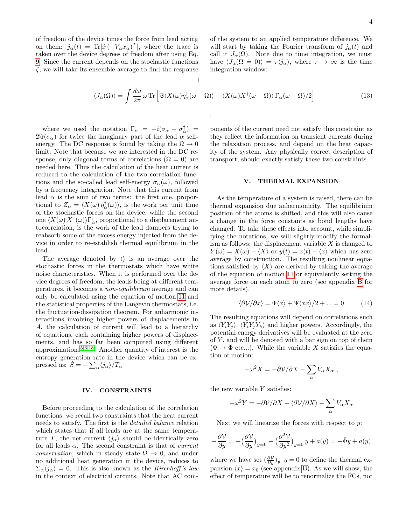of freedom of the device times the force from lead acting on them:  $j_{\alpha}(t) = \text{Tr}[\dot{x}(-V_{\alpha}x_{\alpha})^T]$ , where the trace is taken over the device degrees of freedom after using Eq. [9.](#page-2-3) Since the current depends on the stochastic functions  $\zeta$ , we will take its ensemble average to find the response of the system to an applied temperature difference. We will start by taking the Fourier transform of  $j_{\alpha}(t)$  and call it  $J_{\alpha}(\Omega)$ . Note due to time integration, we must have  $\langle J_{\alpha}(\Omega = 0) \rangle = \tau \langle j_{\alpha} \rangle$ , where  $\tau \to \infty$  is the time integration window:

<span id="page-3-0"></span>
$$
\langle J_{\alpha}(\Omega) \rangle = \int \frac{d\omega}{2\pi} \,\omega \,\text{Tr} \left[ \Im \langle X(\omega) \eta_{\alpha}^{\dagger}(\omega - \Omega) \rangle - \langle X(\omega) X^{\dagger}(\omega - \Omega) \rangle \,\Gamma_{\alpha}(\omega - \Omega) / 2 \right] \tag{13}
$$

where we used the notation  $\Gamma_{\alpha} = -i(\sigma_{\alpha} - \sigma_{\alpha}^{\dagger}) =$  $2\Im(\sigma_\alpha)$  for twice the imaginary part of the lead  $\alpha$  selfenergy. The DC response is found by taking the  $\Omega \to 0$ limit. Note that because we are interested in the DC response, only diagonal terms of correlations ( $\Omega = 0$ ) are needed here. Thus the calculation of the heat current is reduced to the calculation of the two correlation functions and the so-called lead self-energy  $\sigma_{\alpha}(\omega)$ , followed by a frequency integration. Note that this current from lead  $\alpha$  is the sum of two terms: the first one, proportional to  $Z_{\alpha} = \langle X(\omega) \eta_{\alpha}^{\dagger}(\omega) \rangle$ , is the work per unit time of the stochastic forces on the device, while the second one  $\langle X(\omega) X^{\dagger}(\omega) \rangle \Gamma_{\alpha}^{\dagger}$ , proportional to a displacement autocorrelation, is the work of the lead dampers trying to reabsorb some of the excess energy injected from the device in order to re-establish thermal equilibrium in the lead.

The average denoted by  $\langle \rangle$  is an average over the stochastic forces in the thermostats which have white noise characteristics. When it is performed over the device degrees of freedom, the leads being at different temperatures, it becomes a non-equilibrium average and can only be calculated using the equation of motion [11](#page-2-4) and the statistical properties of the Langevin thermostats, i.e. the fluctuation-dissipation theorem. For anharmonic interactions involving higher powers of displacements in A, the calculation of current will lead to a hierarchy of equations, each containing higher powers of displacements, and has so far been computed using different approximations[5](#page-12-5)[,6,](#page-12-6)[18](#page-13-6). Another quantity of interest is the entropy generation rate in the device which can be expressed as:  $\dot{S} = -\sum_{\alpha} \langle j_{\alpha} \rangle / T_{\alpha}$ 

## IV. CONSTRAINTS

Before proceeding to the calculation of the correlation functions, we recall two constraints that the heat current needs to satisfy. The first is the detailed balance relation which states that if all leads are at the same temperature T, the net current  $\langle j_{\alpha} \rangle$  should be identically zero for all leads  $\alpha$ . The second constraint is that of *current* conservation, which in steady state  $\Omega \to 0$ , and under no additional heat generation in the device, reduces to  $\Sigma_{\alpha}\langle j_{\alpha}\rangle = 0$ . This is also known as the Kirchhoff's law in the context of electrical circuits. Note that AC com-

ponents of the current need not satisfy this constraint as they reflect the information on transient currents during the relaxation process, and depend on the heat capacity of the system. Any physically correct description of transport, should exactly satisfy these two constraints.

## V. THERMAL EXPANSION

As the temperature of a system is raised, there can be thermal expansion due anharmonicity. The equilibrium position of the atoms is shifted, and this will also cause a change in the force constants as bond lengths have changed. To take these effects into account, while simplifying the notations, we will slightly modify the formalism as follows: the displacement variable  $X$  is changed to  $Y(\omega) = X(\omega) - \langle X \rangle$  or  $y(t) = x(t) - \langle x \rangle$  which has zero average by construction. The resulting nonlinear equations satisfied by  $\langle X \rangle$  are derived by taking the average of the equation of motion [11](#page-2-4) or equivalently setting the average force on each atom to zero (see appendix [B](#page-7-0) for more details).

<span id="page-3-1"></span>
$$
\langle \partial \mathcal{V} / \partial x \rangle = \Phi \langle x \rangle + \Psi \langle x x \rangle / 2 + \dots = 0 \tag{14}
$$

The resulting equations will depend on correlations such as  $\langle Y_i Y_j \rangle$ ,  $\langle Y_i Y_j Y_k \rangle$  and higher powers. Accordingly, the potential energy derivatives will be evaluated at the zero of  $Y$ , and will be denoted with a bar sign on top of them  $(\Phi \rightarrow \overline{\Phi}$  etc...). While the variable X satisfies the equation of motion:

$$
-\omega^2 X = -\partial \mathcal{V}/\partial X - \sum_{\alpha} V_{\alpha} X_{\alpha} ,
$$

the new variable  $Y$  satisfies:

$$
-\omega^2 Y = -\partial \mathcal{V}/\partial X + \langle \partial \mathcal{V}/\partial X\rangle - \sum_\alpha V_\alpha X_\alpha
$$

Next we will linearize the forces with respect to  $y$ :

$$
-\frac{\partial \mathcal{V}}{\partial y} = -\left(\frac{\partial \mathcal{V}}{\partial y}\right)_{y=0} - \left(\frac{\partial^2 \mathcal{V}}{\partial y^2}\right)_{y=0} y + a(y) = -\bar{\Phi}y + a(y)
$$

where we have set  $\left(\frac{\partial V}{\partial y}\right)_{y=0} = 0$  to define the thermal expansion  $\langle x \rangle = x_0$  (see appendix [B\)](#page-7-0). As we will show, the effect of temperature will be to renormalize the FCs, not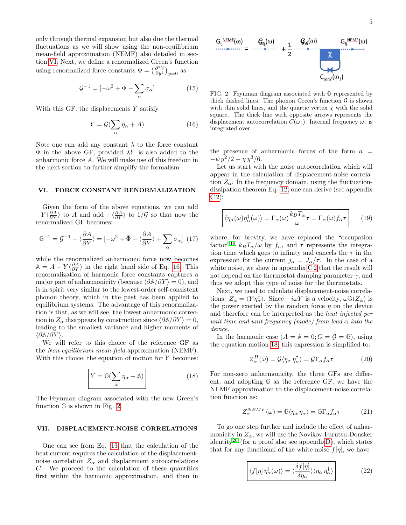only through thermal expansion but also due the thermal fluctuations as we will show using the non-equilibrium mean-field approximation (NEMF) also detailed in section [VI.](#page-4-0) Next, we define a renormalized Green's function using renormalized force constants  $\bar{\Phi} = \left(\frac{\partial^2 V}{\partial y^2}\right)_{y=0}$  as

$$
\mathcal{G}^{-1} = \left[ -\omega^2 + \bar{\Phi} - \sum_{\alpha} \sigma_{\alpha} \right] \tag{15}
$$

With this GF, the displacements  $Y$  satisfy

<span id="page-4-1"></span>
$$
Y = \mathcal{G}(\sum_{\alpha} \eta_{\alpha} + A) \tag{16}
$$

Note one can add any constant  $\lambda$  to the force constant  $\overline{\Phi}$  in the above GF, provided  $\lambda Y$  is also added to the anharmonic force A. We will make use of this freedom in the next section to further simplify the formalism.

#### <span id="page-4-0"></span>VI. FORCE CONSTANT RENORMALIZATION

Given the form of the above equations, we can add  $-Y \langle \frac{\partial A}{\partial Y} \rangle$  to A and add  $-\langle \frac{\partial A}{\partial Y} \rangle$  to  $1/\mathcal{G}$  so that now the renormalized GF becomes:

$$
\mathbb{G}^{-1} = \mathcal{G}^{-1} - \langle \frac{\partial A}{\partial Y} \rangle = [-\omega^2 + \bar{\Phi} - \langle \frac{\partial A}{\partial Y} \rangle + \sum_{\alpha} \sigma_{\alpha}] \tag{17}
$$

while the renormalized anharmonic force now becomes  $\mathbb{A} = A - Y \langle \frac{\partial A}{\partial Y} \rangle$  in the right hand side of Eq. [16.](#page-4-1) This renormalization of harmonic force constants captures a major part of anharmonicity (because  $\langle \partial \mathbb{A}/\partial Y \rangle = 0$ ), and is in spirit very similar to the lowest-order self-consistent phonon theory, which in the past has been applied to equilibrium systems. The advantage of this renormalization is that, as we will see, the lowest anharmonic correction in  $Z_{\alpha}$  disappears by construction since  $\langle \partial \mathbb{A}/\partial Y \rangle = 0$ , leading to the smallest variance and higher moments of  $\langle \partial \mathbb{A}/\partial Y \rangle$ .

We will refer to this choice of the reference GF as the Non-equilibrium mean-field approximation (NEMF). With this choice, the equation of motion for Y becomes:

<span id="page-4-3"></span>
$$
Y = \mathbb{G}(\sum_{\alpha} \eta_{\alpha} + \mathbb{A})
$$
\n(18)

The Feynman diagram associated with the new Green's function **G** is shown in Fig. [2.](#page-4-2)

### VII. DISPLACEMENT-NOISE CORRELATIONS

One can see from Eq. [13](#page-3-0) that the calculation of the heat current requires the calculation of the displacementnoise correlation  $Z_{\alpha}$  and displacement autocorrelations C. We proceed to the calculation of these quantities first within the harmonic approximation, and then in



<span id="page-4-2"></span>FIG. 2. Feynman diagram associated with **G** represented by thick dashed lines. The phonon Green's function  $\mathcal G$  is shown with thin solid lines, and the quartic vertex  $\chi$  with the solid square. The thick line with opposite arrows represents the displacement autocorrelation  $C(\omega_1)$ . Internal frequency  $\omega_1$  is integrated over.

the presence of anharmonic forces of the form  $a =$  $-\psi y^2/2 - \chi y^3/6.$ 

Let us start with the noise autocorrelation which will appear in the calculation of displacement-noise correlation  $Z_{\alpha}$ . In the frequency domain, using the fluctuationdissipation theorem Eq. [12,](#page-2-5) one can derive (see appendix  $C 2$ :

<span id="page-4-4"></span>
$$
\langle \eta_{\alpha}(\omega)\eta_{\alpha}^{\dagger}(\omega)\rangle = \Gamma_{\alpha}(\omega)\frac{k_{B}T_{\alpha}}{\omega}\tau = \Gamma_{\alpha}(\omega)f_{\alpha}\tau \qquad (19)
$$

where, for brevity, we have replaced the "occupation factor<sup>"[19](#page-13-7)</sup>  $k_B T_\alpha/\omega$  by  $f_\alpha$ , and  $\tau$  represents the integration time which goes to infinity and cancels the  $\tau$  in the expression for the current  $j_{\alpha} = J_{\alpha}/\tau$ . In the case of a white noise, we show in appendix C<sub>2</sub> that the result will not depend on the thermostat damping parameter  $\gamma$ , and thus we adopt this type of noise for the thermostats.

Next, we need to calculate displacement-noise correlations:  $Z_{\alpha} = \langle Y \eta_{\alpha}^{\dagger} \rangle$ . Since  $-i\omega Y$  is a velocity,  $\omega \Im(Z_{\alpha})$  is the power exerted by the random force  $\eta$  on the device and therefore can be interpreted as the heat injected per unit time and unit frequency (mode) from lead  $\alpha$  into the device.

In the harmonic case  $(A = A = 0; G = \mathcal{G} = \mathbb{G})$ , using the equation motion [18,](#page-4-3) this expression is simplified to:

$$
Z_{\alpha}^{H}(\omega) = \mathcal{G}\langle \eta_{\alpha}\eta_{\alpha}^{\dagger}\rangle = \mathcal{G}\Gamma_{\alpha}f_{\alpha}\tau
$$
 (20)

For non-zero anharmonicity, the three GFs are different, and adopting **G** as the reference GF, we have the NEMF approximation to the displacement-noise correlation function as:

$$
Z_{\alpha}^{NEMF}(\omega) = \mathbb{G}\langle \eta_{\alpha} \eta_{\alpha}^{\dagger} \rangle = \mathbb{G}\Gamma_{\alpha} f_{\alpha} \tau \tag{21}
$$

To go one step further and include the effect of anharmonicity in  $Z_{\alpha}$ , we will use the Novikov-Furutsu-Donsker identity<sup>[20](#page-13-8)</sup> (for a proof also see appendi[xD\)](#page-11-0), which states that for any functional of the white noise  $f[\eta]$ , we have

<span id="page-4-5"></span>
$$
\langle f[\eta] \eta_{\alpha}^{\dagger}(\omega) \rangle = \langle \frac{\delta f[\eta]}{\delta \eta_{\alpha}} \rangle \langle \eta_{\alpha} \eta_{\alpha}^{\dagger} \rangle \qquad (22)
$$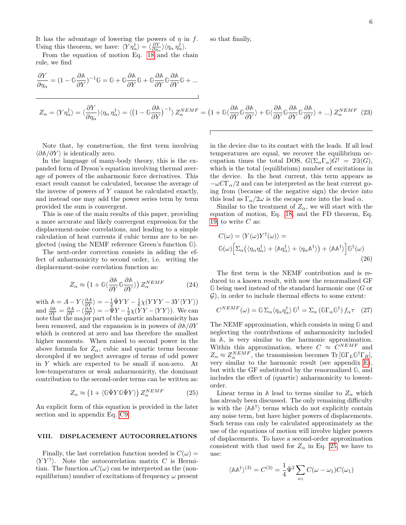It has the advantage of lowering the powers of  $\eta$  in  $f$ . Using this theorem, we have:  $\langle Y \eta_{\alpha}^{\dagger} \rangle = \langle \frac{\partial Y}{\partial \eta_{\alpha}} \rangle \langle \eta_{\alpha} \eta_{\alpha}^{\dagger} \rangle$ .

From the equation of motion Eq. [18](#page-4-3) and the chain rule, we find

<span id="page-5-1"></span>
$$
\frac{\partial Y}{\partial \eta_{\alpha}} = (1 - \mathbb{G} \frac{\partial \mathbb{A}}{\partial Y})^{-1} \mathbb{G} = \mathbb{G} + \mathbb{G} \frac{\partial \mathbb{A}}{\partial Y} \mathbb{G} + \mathbb{G} \frac{\partial \mathbb{A}}{\partial Y} \mathbb{G} \frac{\partial \mathbb{A}}{\partial Y} \mathbb{G} + \dots
$$
\n
$$
Z_{\alpha} = \langle Y \eta_{\alpha}^{\dagger} \rangle = \langle \frac{\partial Y}{\partial \eta_{\alpha}} \rangle \langle \eta_{\alpha} \eta_{\alpha}^{\dagger} \rangle = \langle (1 - \mathbb{G} \frac{\partial \mathbb{A}}{\partial Y})^{-1} \rangle Z_{\alpha}^{NEMF} = (1 + \mathbb{G} \langle \frac{\partial \mathbb{A}}{\partial Y} \mathbb{G} \frac{\partial \mathbb{A}}{\partial Y} \rangle + \mathbb{G} \langle \frac{\partial \mathbb{A}}{\partial Y} \mathbb{G} \frac{\partial \mathbb{A}}{\partial Y} \mathbb{G} \frac{\partial \mathbb{A}}{\partial Y} \rangle + \dots) Z_{\alpha}^{NEMF} \tag{23}
$$

so that finally,

Note that, by construction, the first term involving  $\langle \partial \mathbb{A}/\partial Y \rangle$  is identically zero.

In the language of many-body theory, this is the expanded form of Dyson's equation involving thermal average of powers of the anharmonic force derivatives. This exact result cannot be calculated, because the average of the inverse of powers of  $Y$  cannot be calculated exactly, and instead one may add the power series term by term provided the sum is convergent.

This is one of the main results of this paper, providing a more accurate and likely convergent expression for the displacement-noise correlations, and leading to a simple calculation of heat currents if cubic terms are to be neglected (using the NEMF reference Green's function **G**).

The next-order correction consists in adding the effect of anharmonicity to second order, i.e. writing the displacement-noise correlation function as:

<span id="page-5-3"></span>
$$
Z_{\alpha} \approx \left(1 + \mathbb{G}\langle \frac{\partial \mathbb{A}}{\partial Y} \mathbb{G} \frac{\partial \mathbb{A}}{\partial Y} \rangle\right) Z_{\alpha}^{NEMF} \tag{24}
$$

with  $\mathbb{A} = A - Y \langle \frac{\partial A}{\partial Y} \rangle = -\frac{1}{2} \bar{\Psi} Y Y - \frac{1}{6} \chi (Y Y Y - 3 Y \langle Y Y \rangle)$ and  $\frac{\partial A}{\partial Y} = \frac{\partial A}{\partial Y} - \langle \frac{\partial A}{\partial Y} \rangle = -\bar{\Psi}Y - \frac{1}{2}\chi(\overline{Y}Y - \langle YY \rangle)$ . We can note that the major part of the quartic anharmonicity has been removed, and the expansion is in powers of ∂**A**/∂Y which is centered at zero and has therefore the smallest higher moments. When raised to second power in the above formula for  $Z_{\alpha}$ , cubic and quartic terms become decoupled if we neglect averages of terms of odd power in Y which are expected to be small if non-zero. At low-temperatures or weak anharmonicity, the dominant contribution to the second-order terms can be written as:

<span id="page-5-0"></span>
$$
Z_{\alpha} \approx (1 + \langle \mathbb{G}\bar{\Psi}Y \mathbb{G}\bar{\Psi}Y \rangle) Z_{\alpha}^{NEMF}
$$
 (25)

An explicit form of this equation is provided in the later section and in appendix Eq. [C9.](#page-10-0)

### VIII. DISPLACEMENT AUTOCORRELATIONS

Finally, the last correlation function needed is  $C(\omega)$  =  $\langle YY^{\dagger} \rangle$ . Note the autocorrelation matrix C is Hermitian. The function  $\omega C(\omega)$  can be interpreted as the (nonequilibrium) number of excitations of frequency  $\omega$  present in the device due to its contact with the leads. If all lead temperatures are equal, we recover the equilibrium occupation times the total DOS,  $G(\Sigma_{\alpha} \Gamma_{\alpha})G^{\dagger} = 2\Im(G)$ , which is the total (equilibrium) number of excitations in the device. In the heat current, this term appears as  $-\omega C\Gamma_\alpha/2$  and can be interpreted as the heat current going from (because of the negative sign) the device into this lead as  $\Gamma_{\alpha}/2\omega$  is the escape rate into the lead  $\alpha$ .

Similar to the treatment of  $Z_{\alpha}$ , we will start with the equation of motion, Eq. [18,](#page-4-3) and the FD theorem, Eq. [19,](#page-4-4) to write  $C$  as:

<span id="page-5-2"></span>
$$
C(\omega) = \langle Y(\omega)Y^{\dagger}(\omega) \rangle =
$$
  
 
$$
\mathbb{G}(\omega) \Big[ \Sigma_{\alpha} (\langle \eta_{\alpha} \eta_{\alpha}^{\dagger} \rangle + \langle \mathbb{A} \eta_{\alpha}^{\dagger} \rangle + \langle \eta_{\alpha} \mathbb{A}^{\dagger} \rangle) + \langle \mathbb{A} \mathbb{A}^{\dagger} \rangle \Big] \mathbb{G}^{\dagger}(\omega)
$$
 (26)

The first term is the NEMF contribution and is reduced to a known result, with now the renormalized GF **G** being used instead of the standard harmonic one (G or  $\mathcal{G}$ ), in order to include thermal effects to some extent:

$$
C^{NEMF}(\omega) = \mathbb{G}\Sigma_{\alpha} \langle \eta_{\alpha} \eta_{\alpha}^{\dagger} \rangle \mathbb{G}^{\dagger} = \Sigma_{\alpha} (\mathbb{G}\Gamma_{\alpha} \mathbb{G}^{\dagger}) f_{\alpha} \tau \quad (27)
$$

The NEMF approximation, which consists in using **G** and neglecting the contributions of anharmonicity included in **A**, is very similar to the harmonic approximation. Within this approximation, where  $C \approx C^{NEMF}$  and  $Z_{\alpha} \approx Z_{\alpha}^{NEMF}$ , the transmission becomes Tr [ $\mathbb{G}\Gamma_L\mathbb{G}^{\dagger}\Gamma_R$ ], very similar to the harmonic result (see appendix [E\)](#page-12-12), but with the GF substituted by the renormalized **G**, and includes the effect of (quartic) anharmonicity to lowestorder.

Linear terms in A lead to terms similar to  $Z_{\alpha}$  which has already been discussed. The only remaining difficulty is with the  $\langle A A^{\dagger} \rangle$  terms which do not explicitly contain any noise term, but have higher powers of displacements. Such terms can only be calculated approximately as the use of the equations of motion will involve higher powers of displacements. To have a second-order approximation consistent with that used for  $Z_{\alpha}$  in Eq. [25,](#page-5-0) we have to use:

$$
\langle \mathbb{A} \mathbb{A}^{\dagger} \rangle^{(3)} = C^{(3)} = \frac{1}{4} \bar{\Psi}^2 \sum_{\omega_1} C(\omega - \omega_1) C(\omega_1)
$$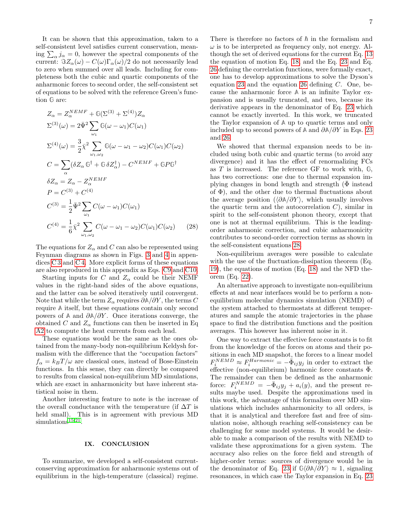It can be shown that this approximation, taken to a self-consistent level satisfies current conservation, meaning  $\sum_{\alpha} j_{\alpha} = 0$ , however the spectral components of the current:  $\Im Z_{\alpha}(\omega) - C(\omega)\Gamma_{\alpha}(\omega)/2$  do not necessarily lead to zero when summed over all leads. Including for completeness both the cubic and quartic components of the anharmonic forces to second order, the self-consistent set of equations to be solved with the reference Green's function **G** are:

$$
Z_{\alpha} = Z_{\alpha}^{NEMF} + \mathbb{G}(\Sigma^{(3)} + \Sigma^{(4)})Z_{\alpha}
$$
  
\n
$$
\Sigma^{(3)}(\omega) = 2\bar{\Psi}^{2} \sum_{\omega_{1}} \mathbb{G}(\omega - \omega_{1})C(\omega_{1})
$$
  
\n
$$
\Sigma^{(4)}(\omega) = \frac{3}{2}\bar{\chi}^{2} \sum_{\omega_{1},\omega_{2}} \mathbb{G}(\omega - \omega_{1} - \omega_{2})C(\omega_{1})C(\omega_{2})
$$
  
\n
$$
C = \sum_{\alpha} (\delta Z_{\alpha} \mathbb{G}^{\dagger} + \mathbb{G} \delta Z_{\alpha}^{\dagger}) - C^{NEMF} + \mathbb{G}P\mathbb{G}^{\dagger}
$$
  
\n
$$
\delta Z_{\alpha} = Z_{\alpha} - Z_{\alpha}^{NEMF}
$$
  
\n
$$
P = C^{(3)} + C^{(4)}
$$
  
\n
$$
C^{(3)} = \frac{1}{2} \bar{\Psi}^{2} \sum_{\omega_{1}} C(\omega - \omega_{1})C(\omega_{1})
$$
  
\n
$$
C^{(4)} = \frac{1}{6}\bar{\chi}^{2} \sum_{\omega_{1},\omega_{2}} C(\omega - \omega_{1} - \omega_{2})C(\omega_{1})C(\omega_{2})
$$
 (28)

The equations for  $Z_{\alpha}$  and C can also be represented using Feynman diagrams as shown in Figs. [3](#page-11-1) and [4](#page-11-2) in appendices [C 3](#page-10-1) and [C 4.](#page-11-3) More explicit forms of these equations are also reproduced in this appendix as Eqs. [C9](#page-10-0) and [C10.](#page-11-4)

Starting inputs for C and  $Z_{\alpha}$  could be their NEMF values in the right-hand sides of the above equations, and the latter can be solved iteratively until convergent. Note that while the term  $Z_{\alpha}$  requires  $\partial \mathbb{A}/\partial Y$ , the terms C require **A** itself, but these equations contain only second powers of **A** and ∂**A**/∂Y . Once iterations converge, the obtained C and  $Z_{\alpha}$  functions can then be inserted in Eq. [A2](#page-7-1) to compute the heat currents from each lead.

These equations would be the same as the ones obtained from the many-body non-equilibrium Keldysh formalism with the difference that the "occupation factors"  $f_{\alpha} = k_B T / \omega$  are classical ones, instead of Bose-Einstein functions. In this sense, they can directly be compared to results from classical non-equilibrium MD simulations, which are exact in anharmonicity but have inherent statistical noise in them.

Another interesting feature to note is the increase of the overall conductance with the temperature (if  $\Delta T$  is held small). This is in agreement with previous MD simulations<sup>[15](#page-13-3)[,21](#page-13-9)</sup>.

### IX. CONCLUSION

To summarize, we developed a self-consistent currentconserving approximation for anharmonic systems out of equilibrium in the high-temperature (classical) regime. There is therefore no factors of  $\hbar$  in the formalism and  $\omega$  is to be interpreted as frequency only, not energy. Although the set of derived equations for the current Eq. [13](#page-3-0) the equation of motion Eq. [18,](#page-4-3) and the Eq. [23](#page-5-1) and Eq. [26](#page-5-2) defining the correlation functions, were formally exact, one has to develop approximations to solve the Dyson's equation [23](#page-5-1) and the equation [26](#page-5-2) defining  $C$ . One, because the anharmonic force **A** is an infinite Taylor expansion and is usually truncated, and two, because its derivative appears in the denominator of Eq. [23](#page-5-1) which cannot be exactly inverted. In this work, we truncated the Taylor expansion of **A** up to quartic terms and only included up to second powers of  $\mathbb{A}$  and  $\partial \mathbb{A}/\partial Y$  in Eqs. [23](#page-5-1) and [26.](#page-5-2)

We showed that thermal expansion needs to be included using both cubic and quartic terms (to avoid any divergence) and it has the effect of renormalizing FCs as T is increased. The reference GF to work with, **G**, has two corrections: one due to thermal expansion implying changes in bond length and strength  $(\bar{\Phi}$  instead of  $\Phi$ ), and the other due to thermal fluctuations about the average position  $(\langle \partial \mathbb{A}/\partial Y \rangle)$ , which usually involves the quartic term and the autocorrelation  $C$ ), similar in spirit to the self-consistent phonon theory, except that one is not at thermal equilibrium. This is the leadingorder anharmonic correction, and cubic anharmonicity contributes to second-order correction terms as shown in the self-consistent equations [28.](#page-6-0)

<span id="page-6-0"></span>Non-equilibrium averages were possible to calculate with the use of the fluctuation-dissipation theorem (Eq. [19\)](#page-4-4), the equations of motion (Eq. [18\)](#page-4-3) and the NFD theorem (Eq. [22\)](#page-4-5).

An alternative approach to investigate non-equilibrium effects at and near interfaces would be to perform a nonequilibrium molecular dynamics simulation (NEMD) of the system attached to thermostats at different temperatures and sample the atomic trajectories in the phase space to find the distribution functions and the position averages. This however has inherent noise in it.

One way to extract the effective force constants is to fit from the knowledge of the forces on atoms and their positions in each MD snapshot, the forces to a linear model  $F_i^{NEMD} \approx F_i^{Harmonic} = -\dot{\Phi}_{ij}y_j$  in order to extract the effective (non-equilibrium) harmonic force constants  $\bar{\Phi}$ . The remainder can then be defined as the anharmonic force:  $F_i^{NEMD} = -\bar{\Phi}_{ij}y_j + a_i(y)$ , and the present results maybe used. Despite the approximations used in this work, the advantage of this formalism over MD simulations which includes anharmonicity to all orders, is that it is analytical and therefore fast and free of simulation noise, although reaching self-consistency can be challenging for some model systems. It would be desirable to make a comparison of the results with NEMD to validate these approximations for a given system. The accuracy also relies on the force field and strength of higher-order terms: sources of divergence would be in the denominator of Eq. [23](#page-5-1) if  $\mathbb{G}\langle\partial\mathbb{A}/\partial Y\rangle \approx 1$ , signaling resonances, in which case the Taylor expansion in Eq. [23](#page-5-1)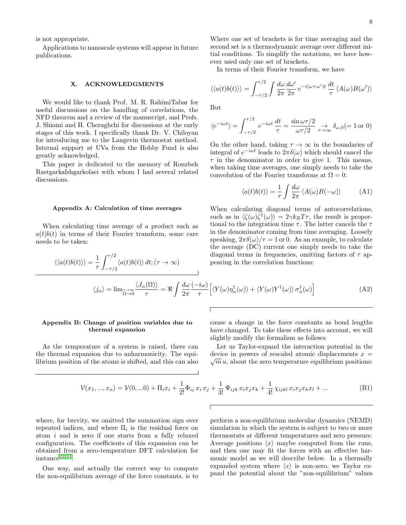is not appropriate.

Applications to nanoscale systems will appear in future publications.

### X. ACKNOWLEDGMENTS

We would like to thank Prof. M. R. RahimiTabar for useful discussions on the handling of correlations, the NFD theorem and a review of the manuscript, and Profs. J. Shiomi and H. Cheraghchi for discussions at the early stages of this work. I specifically thank Dr. V. Chiloyan for introducing me to the Langevin thermostat method. Internal support at UVa from the Hobby Fund is also greatly acknowledged.

This paper is dedicated to the memory of Rouzbeh Rastgarkafshgarkolaei with whom I had several related discussions.

#### Appendix A: Calculation of time averages

When calculating time average of a product such as  $a(t)b(t)$  in terms of their Fourier transform, some care needs to be taken:

 $\langle a(t)b(t)\rangle dt; (\tau \to \infty)$ 

 $\int^{\tau/2}$  $-\tau/2$ 

 $\langle \langle a(t) b(t) \rangle \rangle = \frac{1}{\sqrt{2\pi}}$ 

<span id="page-7-1"></span>τ

Where one set of brackets is for time averaging and the second set is a thermodynamic average over different initial conditions. To simplify the notations, we have however used only one set of brackets.

In terms of their Fourier transform, we have

$$
\langle\langle a(t)b(t)\rangle\rangle = \int_{-\tau/2}^{\tau/2} \int \frac{d\omega}{2\pi} \frac{d\omega'}{2\pi} e^{-i(\omega+\omega')t} \frac{dt}{\tau} \langle A(\omega)B(\omega')\rangle
$$

But

$$
\langle e^{-i\omega t} \rangle = \int_{-\tau/2}^{\tau/2} e^{-i\omega t} \frac{dt}{\tau} = \frac{\sin \omega \tau/2}{\omega \tau/2} \underset{\tau \to \infty}{\to} \delta_{\omega,0} (= 1 \text{ or } 0)
$$

On the other hand, taking  $\tau \to \infty$  in the boundaries of integral of  $e^{-i\omega t}$  leads to  $2\pi\delta(\omega)$  which should cancel the  $\tau$  in the denominator in order to give 1. This means, when taking time averages, one simply needs to take the convolution of the Fourier transforms at  $\Omega = 0$ :

$$
\langle a(t)b(t)\rangle = \frac{1}{\tau} \int \frac{d\omega}{2\pi} \langle A(\omega)B(-\omega)\rangle \tag{A1}
$$

When calculating diagonal terms of autocorrelations, such as in  $\langle \zeta(\omega)\zeta^{\dagger}(\omega)\rangle = 2\gamma k_B T \tau$ , the result is proportional to the integration time  $\tau$ . The latter cancels the  $\tau$ in the denominator coming from time averaging. Loosely speaking,  $2\pi\delta(\omega)/\tau = 1$  or 0. As an example, to calculate the average (DC) current one simply needs to take the diagonal terms in frequencies, omitting factors of  $\tau$  appearing in the correlation functions:

$$
\langle j_{\alpha} \rangle = \lim_{\substack{\tau \to \infty \\ \Omega \to 0}} \frac{\langle J_{\alpha}(\Omega) \rangle}{\tau} = \Re \int \frac{d\omega}{2\pi} \frac{(-i\omega)}{\tau} \Big[ \langle Y(\omega) \eta_{\alpha}^{\dagger}(\omega) \rangle + \langle Y(\omega) Y^{\dagger}(\omega) \rangle \sigma_{\alpha}^{\dagger}(\omega) \Big] \tag{A2}
$$

### <span id="page-7-0"></span>Appendix B: Change of position variables due to thermal expansion

As the temperature of a system is raised, there can the thermal expansion due to anharmonicity. The equilibrium position of the atoms is shifted, and this can also cause a change in the force constants as bond lengths have changed. To take these effects into account, we will slightly modify the formalism as follows:

Let us Taylor-expand the interaction potential in the device in powers of rescaled atomic displacements  $x =$  $\sqrt{m} u$ , about the zero temperature equilibrium positions:

<span id="page-7-2"></span>
$$
\mathcal{V}(x_1, ..., x_n) = \mathcal{V}(0, ...0) + \Pi_i x_i + \frac{1}{2!} \Phi_{ij} x_i x_j + \frac{1}{3!} \Psi_{ijk} x_i x_j x_k + \frac{1}{4!} \chi_{ijkl} x_i x_j x_k x_l + ...
$$
\n(B1)

where, for brevity, we omitted the summation sign over repeated indices, and where  $\Pi_i$  is the residual force on atom i and is zero if one starts from a fully relaxed configuration. The coefficients of this expansion can be obtained from a zero-temperature DFT calculation for  $instance<sup>22,23</sup>$  $instance<sup>22,23</sup>$  $instance<sup>22,23</sup>$  $instance<sup>22,23</sup>$ .

One way, and actually the correct way to compute the non-equilibrium average of the force constants, is to perform a non-equilibrium molecular dynamics (NEMD) simulation in which the system is subject to two or more thermostats at different temperatures and zero pressure. Average positions  $\langle x \rangle$  maybe computed from the runs, and then one may fit the forces with an effective harmonic model as we will describe below. In a thermally expanded system where  $\langle x \rangle$  is non-zero, we Taylor expand the potential about the "non-equilibrium" values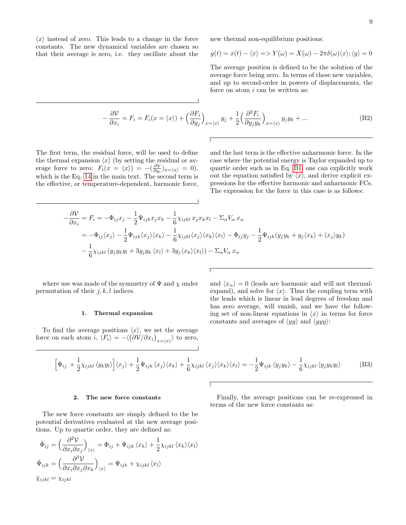$\langle x \rangle$  instead of zero. This leads to a change in the force constants. The new dynamical variables are chosen so that their average is zero, i.e. they oscillate about the new thermal non-equilibrium positions:

$$
y(t) = x(t) - \langle x \rangle \Longrightarrow Y(\omega) = X(\omega) - 2\pi \delta(\omega) \langle x \rangle; \langle y \rangle = 0
$$

The average position is defined to be the solution of the average force being zero. In terms of these new variables, and up to second-order in powers of displacements, the force on atom i can be written as:

$$
-\frac{\partial V}{\partial x_i} = F_i = F_i(x = \langle x \rangle) + \left(\frac{\partial F_i}{\partial y_j}\right)_{x = \langle x \rangle} y_j + \frac{1}{2} \left(\frac{\partial^2 F_i}{\partial y_j y_k}\right)_{x = \langle x \rangle} y_j y_k + \dots
$$
(B2)

The first term, the residual force, will be used to define the thermal expansion  $\langle x \rangle$  (by setting the residual or average force to zero:  $F_i(x = \langle x \rangle) = -(\frac{\partial \mathcal{V}}{\partial y_i})_{x = \langle x \rangle} = 0,$ which is the Eq. [14](#page-3-1) in the main text. The second term is the effective, or temperature-dependent, harmonic force, and the last term is the effective anharmonic force. In the case where the potential energy is Taylor expanded up to quartic order such as in Eq. [B1,](#page-7-2) one can explicitly work out the equation satisfied by  $\langle x \rangle$ , and derive explicit expressions for the effective harmonic and anharmonic FCs. The expression for the force in this case is as follows:

$$
-\frac{\partial \mathcal{V}}{\partial x_i} = F_i = -\Phi_{ij} x_j - \frac{1}{2} \Psi_{ijk} x_j x_k - \frac{1}{6} \chi_{ijkl} x_j x_k x_l - \Sigma_\alpha V_\alpha x_\alpha
$$
  

$$
= -\Phi_{ij} \langle x_j \rangle - \frac{1}{2} \Psi_{ijk} \langle x_j \rangle \langle x_k \rangle - \frac{1}{6} \chi_{ijkl} \langle x_j \rangle \langle x_k \rangle \langle x_l \rangle - \Phi_{ij} y_j - \frac{1}{2} \Psi_{ijk} (y_j y_k + y_j \langle x_k \rangle + \langle x_j \rangle y_k)
$$
  

$$
- \frac{1}{6} \chi_{ijkl} (y_j y_k y_l + 3 y_j y_k \langle x_l \rangle + 3 y_j \langle x_k \rangle \langle x_l \rangle) - \Sigma_\alpha V_\alpha x_\alpha
$$

where use was made of the symmetry of  $\Psi$  and  $\chi$  under permutation of their  $j, k, l$  indices.

### 1. Thermal expansion

To find the average positions  $\langle x \rangle$ , we set the average force on each atom  $i, \langle F_i \rangle = -\langle (\partial \mathcal{V}/\partial x_i)_{x=\langle x \rangle} \rangle$  to zero, and  $\langle x_{\alpha} \rangle = 0$  (leads are harmonic and will not thermalexpand), and solve for  $\langle x \rangle$ . Thus the coupling term with the leads which is linear in lead degrees of freedom and has zero average, will vanish, and we have the following set of non-linear equations in  $\langle x \rangle$  in terms for force constants and averages of  $\langle y y \rangle$  and  $\langle y y y \rangle$ :

$$
\left[\Phi_{ij} + \frac{1}{2}\chi_{ijkl}\langle y_k y_l \rangle\right] \langle x_j \rangle + \frac{1}{2}\Psi_{ijk}\langle x_j \rangle \langle x_k \rangle + \frac{1}{6}\chi_{ijkl}\langle x_j \rangle \langle x_k \rangle \langle x_l \rangle = -\frac{1}{2}\Psi_{ijk}\langle y_j y_k \rangle - \frac{1}{6}\chi_{ijkl}\langle y_j y_k y_l \rangle \tag{B3}
$$

#### 2. The new force constants

The new force constants are simply defined to the be potential derivatives evaluated at the new average positions. Up to quartic order, they are defined as:

$$
\bar{\Phi}_{ij} = \left(\frac{\partial^2 V}{\partial x_i \partial x_j}\right)_{\langle x \rangle} = \Phi_{ij} + \Psi_{ijk} \langle x_k \rangle + \frac{1}{2} \chi_{ijkl} \langle x_k \rangle \langle x_l \rangle
$$
  

$$
\bar{\Psi}_{ijk} = \left(\frac{\partial^3 V}{\partial x_i \partial x_j \partial x_k}\right)_{\langle x \rangle} = \Psi_{ijk} + \chi_{ijkl} \langle x_l \rangle
$$
  

$$
\bar{\chi}_{ijkl} = \chi_{ijkl}
$$

Finally, the average positions can be re-expressed in terms of the new force constants as: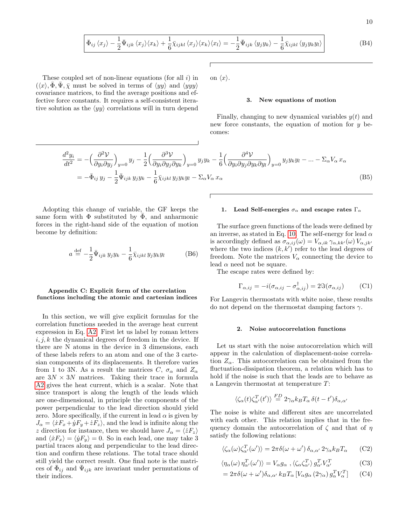$$
\bar{\Phi}_{ij} \langle x_j \rangle - \frac{1}{2} \bar{\Psi}_{ijk} \langle x_j \rangle \langle x_k \rangle + \frac{1}{6} \bar{\chi}_{ijkl} \langle x_j \rangle \langle x_k \rangle \langle x_l \rangle = -\frac{1}{2} \bar{\Psi}_{ijk} \langle y_j y_k \rangle - \frac{1}{6} \bar{\chi}_{ijkl} \langle y_j y_k y_l \rangle \tag{B4}
$$

These coupled set of non-linear equations (for all  $i$ ) in  $(\langle x \rangle, \Phi, \Psi, \bar{\chi} \text{ must be solved in terms of } \langle y \rangle \text{ and } \langle y \rangle$ covariance matrices, to find the average positions and effective force constants. It requires a self-consistent iterative solution as the  $\langle yy \rangle$  correlations will in turn depend

on  $\langle x \rangle$ .

#### 3. New equations of motion

Finally, changing to new dynamical variables  $y(t)$  and new force constants, the equation of motion for  $y$  becomes:

$$
\frac{d^2y_i}{dt^2} = -\left(\frac{\partial^2 V}{\partial y_i \partial y_j}\right)_{y=0} y_j - \frac{1}{2} \left(\frac{\partial^3 V}{\partial y_i \partial y_j \partial y_k}\right)_{y=0} y_j y_k - \frac{1}{6} \left(\frac{\partial^4 V}{\partial y_i \partial y_j \partial y_k \partial y_l}\right)_{y=0} y_j y_k y_l - \dots - \Sigma_\alpha V_\alpha x_\alpha
$$
\n
$$
= -\bar{\Phi}_{ij} y_j - \frac{1}{2} \bar{\Psi}_{ijk} y_j y_k - \frac{1}{6} \bar{\chi}_{ijkl} y_j y_k y_l - \Sigma_\alpha V_\alpha x_\alpha
$$
\n(B5)

Adopting this change of variable, the GF keeps the same form with  $\Phi$  substituted by  $\Phi$ , and anharmonic forces in the right-hand side of the equation of motion become by definition:

$$
a \stackrel{\text{def}}{=} -\frac{1}{2} \bar{\Psi}_{ijk} y_j y_k - \frac{1}{6} \bar{\chi}_{ijkl} y_j y_k y_l \tag{B6}
$$

## Appendix C: Explicit form of the correlation functions including the atomic and cartesian indices

In this section, we will give explicit formulas for the correlation functions needed in the average heat current expression in Eq. [A2.](#page-7-1) First let us label by roman letters  $i, j, k$  the dynamical degrees of freedom in the device. If there are N atoms in the device in 3 dimensions, each of these labels refers to an atom and one of the 3 cartesian components of its displacements. It therefore varies from 1 to 3N. As a result the matrices C,  $\sigma_{\alpha}$  and  $Z_{\alpha}$ are  $3N \times 3N$  matrices. Taking their trace in formula [A2](#page-7-1) gives the heat current, which is a scalar. Note that since transport is along the length of the leads which are one-dimensional, in principle the components of the power perpendicular to the lead direction should yield zero. More specifically, if the current in lead  $\alpha$  is given by  $J_{\alpha} = \langle \dot{x}F_x + \dot{y}F_y + \dot{z}F_z \rangle$ , and the lead is infinite along the z direction for instance, then we should have  $J_{\alpha} = \langle zF_z \rangle$ and  $\langle \dot{x}F_x \rangle = \langle \dot{y}F_y \rangle = 0$ . So in each lead, one may take 3 partial traces along and perpendicular to the lead direction and confirm these relations. The total trace should still yield the correct result. One final note is the matrices of  $\bar{\Phi}_{ij}$  and  $\bar{\Psi}_{ijk}$  are invariant under permutations of their indices.

#### 1. Lead Self-energies  $\sigma_{\alpha}$  and escape rates  $\Gamma_{\alpha}$

The surface green functions of the leads were defined by an inverse, as stated in Eq. [10.](#page-2-6) The self-energy for lead  $\alpha$ is accordingly defined as  $\sigma_{\alpha,ij}(\omega) = V_{\alpha,ik}\gamma_{\alpha,kk'}(\omega) V_{\alpha,jk'}$ where the two indices  $(k, k')$  refer to the lead degrees of freedom. Note the matrices  $V_{\alpha}$  connecting the device to lead  $\alpha$  need not be square.

The escape rates were defined by:

$$
\Gamma_{\alpha,ij} = -i(\sigma_{\alpha,ij} - \sigma_{\alpha,ij}^{\dagger}) = 2\Im(\sigma_{\alpha,ij})
$$
 (C1)

For Langevin thermostats with white noise, these results do not depend on the thermostat damping factors  $\gamma$ .

#### <span id="page-9-0"></span>2. Noise autocorrelation functions

Let us start with the noise autocorrelation which will appear in the calculation of displacement-noise correlation  $Z_{\alpha}$ . This autocorrelation can be obtained from the fluctuation-dissipation theorem, a relation which has to hold if the noise is such that the leads are to behave as a Langevin thermostat at temperature T:

$$
\langle \zeta_{\alpha}(t) \zeta_{\alpha'}^{T}(t') \rangle \stackrel{FD}{=} 2\gamma_{\alpha} k_{B} T_{\alpha} \delta(t-t') \delta_{\alpha,\alpha'}
$$

The noise is white and different sites are uncorrelated with each other. This relation implies that in the frequency domain the autocorrelation of  $\zeta$  and that of  $\eta$ satisfy the following relations:

$$
\langle \zeta_{\alpha}(\omega)\zeta_{\alpha'}^{T}(\omega')\rangle = 2\pi\delta(\omega + \omega')\,\delta_{\alpha,\alpha'}\,2\gamma_{\alpha}k_{B}T_{\alpha} \qquad (C2)
$$

$$
\langle \eta_{\alpha}(\omega) \eta_{\alpha'}^{T}(\omega') \rangle = V_{\alpha} g_{\alpha} , \langle \zeta_{\alpha} \zeta_{\alpha'}^{T} \rangle g_{\alpha'}^{T} V_{\alpha'}^{T}
$$
(C3)

$$
=2\pi\delta(\omega+\omega')\delta_{\alpha,\alpha'}k_BT_{\alpha}[V_{\alpha}g_{\alpha}(2\gamma_{\alpha})g_{\alpha}^TV_{\alpha}^T] \qquad (C4)
$$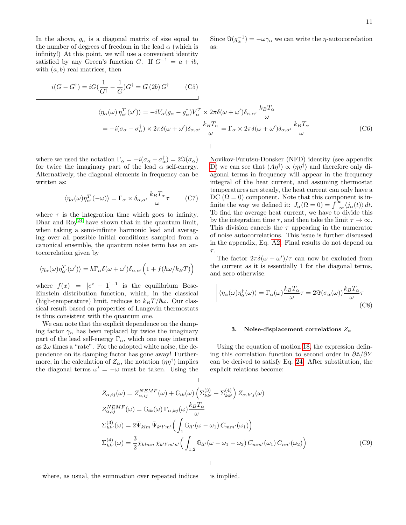In the above,  $g_{\alpha}$  is a diagonal matrix of size equal to the number of degrees of freedom in the lead  $\alpha$  (which is infinity!) At this point, we will use a convenient identity satisfied by any Green's function G. If  $G^{-1} = a + ib$ , with  $(a, b)$  real matrices, then

<span id="page-10-2"></span> $i(G-G^{\dagger})=iG(\frac{1}{G})$  $\frac{1}{G^{\dagger}}-\frac{1}{G}$  $\frac{1}{G}$ ) $G^{\dagger} = G(2b) G^{\dagger}$  $(C5)$  $\langle \eta_\alpha(\omega) \, \eta_{\alpha'}^T(\omega') \rangle = -i V_\alpha (g_\alpha - g_\alpha^\dagger) V_\alpha^T \times 2\pi \delta(\omega + \omega') \delta_{\alpha,\alpha'} \, \frac{k_B T_\alpha}{\sqrt{2\pi}}$ ω  $=-i(\sigma_\alpha-\sigma_\alpha^\dagger)\times 2\pi\delta(\omega+\omega')\delta_{\alpha,\alpha'}\frac{k_BT_{\alpha'}}{k_BT_{\alpha'}}$  $\frac{d^3T_{\alpha}}{\omega} = \Gamma_{\alpha} \times 2\pi \delta(\omega + \omega') \delta_{\alpha,\alpha'} \frac{k_B T_{\alpha}}{\omega}$ ω (C6)

as:

where we used the notation  $\Gamma_{\alpha} = -i(\sigma_{\alpha} - \sigma_{\alpha}^{\dagger}) = 2\Im(\sigma_{\alpha})$ for twice the imaginary part of the lead  $\alpha$  self-energy. Alternatively, the diagonal elements in frequency can be written as:

$$
\langle \eta_{\alpha}(\omega)\eta_{\alpha'}^{T}(-\omega)\rangle = \Gamma_{\alpha} \times \delta_{\alpha,\alpha'} \frac{k_{B}T_{\alpha}}{\omega}\tau
$$
 (C7)

where  $\tau$  is the integration time which goes to infinity. Dhar and  $Roy^{24}$  $Roy^{24}$  $Roy^{24}$  have shown that in the quantum limit, when taking a semi-infinite harmonic lead and averaging over all possible initial conditions sampled from a canonical ensemble, the quantum noise term has an autocorrelation given by

$$
\langle \eta_{\alpha}(\omega)\eta^{T}_{\alpha'}(\omega')\rangle = h\Gamma_{\alpha}\delta(\omega + \omega')\delta_{\alpha,\alpha'}\Big(1 + f(\hbar\omega/k_{B}T)\Big)
$$

where  $f(x) = [e^x - 1]^{-1}$  is the equilibrium Bose-Einstein distribution function, which, in the classical (high-temperature) limit, reduces to  $k_BT/\hbar\omega$ . Our classical result based on properties of Langevin thermostats is thus consistent with the quantum one.

We can note that the explicit dependence on the damping factor  $\gamma_{\alpha}$  has been replaced by twice the imaginary part of the lead self-energy  $\Gamma_{\alpha}$ , which one may interpret as  $2\omega$  times a "rate". For the adopted white noise, the dependence on its damping factor has gone away! Furthermore, in the calculation of  $Z_{\alpha}$ , the notation  $\langle \eta \eta^{\dagger} \rangle$  implies the diagonal terms  $\omega' = -\omega$  must be taken. Using the

Novikov-Furutsu-Donsker (NFD) identity (see appendix [D\)](#page-11-0) we can see that  $\langle A\eta^{\dagger} \rangle \propto \langle \eta \eta^{\dagger} \rangle$  and therefore only diagonal terms in frequency will appear in the frequency integral of the heat current, and assuming thermostat temperatures are steady, the heat current can only have a DC  $(\Omega = 0)$  component. Note that this component is infinite the way we defined it:  $J_{\alpha}(\Omega = 0) = \int_{-\infty}^{\infty} \langle j_{\alpha}(t) \rangle dt$ . To find the average heat current, we have to divide this by the integration time  $\tau$ , and then take the limit  $\tau \to \infty$ . This division cancels the  $\tau$  appearing in the numerator of noise autocorrelations. This issue is further discussed in the appendix, Eq. [A2.](#page-7-1) Final results do not depend on  $\tau.$ 

Since  $\Im(g_{\alpha}^{-1}) = -\omega \gamma_{\alpha}$  we can write the  $\eta$ -autocorrelation

The factor  $2\pi\delta(\omega + \omega')/\tau$  can now be excluded from the current as it is essentially 1 for the diagonal terms, and zero otherwise.

$$
\left| \langle \eta_{\alpha}(\omega)\eta_{\alpha}^{\dagger}(\omega) \rangle = \Gamma_{\alpha}(\omega) \frac{k_{B}T_{\alpha}}{\omega} \tau = 2\Im(\sigma_{\alpha}(\omega)) \frac{k_{B}T_{\alpha}}{\omega} \tau \right|
$$
(C8)

#### <span id="page-10-1"></span>3. Noise-displacement correlations  $Z_{\alpha}$

Using the equation of motion [18,](#page-4-3) the expression defining this correlation function to second order in ∂**A**/∂Y can be derived to satisfy Eq. [24.](#page-5-3) After substitution, the explicit relations become:

$$
Z_{\alpha,ij}(\omega) = Z_{\alpha,ij}^{NEMF}(\omega) + \mathbb{G}_{ik}(\omega) \left(\Sigma_{kk'}^{(3)} + \Sigma_{kk'}^{(4)}\right) Z_{\alpha,k'j}(\omega)
$$
  
\n
$$
Z_{\alpha,ij}^{NEMF}(\omega) = \mathbb{G}_{ik}(\omega) \Gamma_{\alpha,kj}(\omega) \frac{k_B T_{\alpha}}{\omega}
$$
  
\n
$$
\Sigma_{kk'}^{(3)}(\omega) = 2 \bar{\Psi}_{klm} \bar{\Psi}_{k'l'm'} \left(\int_{1} \mathbb{G}_{ll'}(\omega - \omega_{1}) C_{mm'}(\omega_{1})\right)
$$
  
\n
$$
\Sigma_{kk'}^{(4)}(\omega) = \frac{3}{2} \bar{\chi}_{klmn} \bar{\chi}_{k'l'm'n'} \left(\int_{1,2} \mathbb{G}_{ll'}(\omega - \omega_{1} - \omega_{2}) C_{mm'}(\omega_{1}) C_{nn'}(\omega_{2})\right)
$$
 (C9)

where, as usual, the summation over repeated indices is implied.

<span id="page-10-0"></span>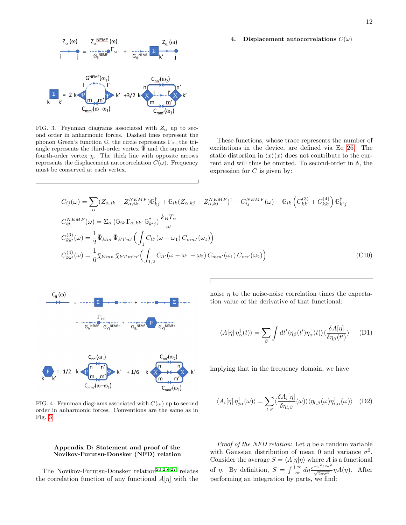#### <span id="page-11-3"></span>4. Displacement autocorrelations  $C(\omega)$



<span id="page-11-1"></span>FIG. 3. Feynman diagrams associated with  $Z_{\alpha}$  up to second order in anharmonic forces. Dashed lines represent the phonon Green's function  $\mathbb{G}$ , the circle represents  $\Gamma_{\alpha}$ , the triangle represents the third-order vertex  $\bar{\Psi}$  and the square the fourth-order vertex  $\chi$ . The thick line with opposite arrows represents the displacement autocorrelation  $C(\omega)$ . Frequency must be conserved at each vertex.

These functions, whose trace represents the number of excitations in the device, are defined via Eq [26.](#page-5-2) The static distortion in  $\langle x \rangle \langle x \rangle$  does not contribute to the current and will thus be omitted. To second-order in **A**, the expression for  $C$  is given by:

$$
C_{ij}(\omega) = \sum_{\alpha} (Z_{\alpha,ik} - Z_{\alpha,ik}^{NEMF}) \mathbb{G}_{kj}^{\dagger} + \mathbb{G}_{ik} (Z_{\alpha,kj} - Z_{\alpha,kj}^{NEMF})^{\dagger} - C_{ij}^{NEMF}(\omega) + \mathbb{G}_{ik} \left( C_{kk'}^{(3)} + C_{kk'}^{(4)} \right) \mathbb{G}_{k'j}^{\dagger}
$$
  
\n
$$
C_{ij}^{NEMF}(\omega) = \Sigma_{\alpha} (\mathbb{G}_{ik} \Gamma_{\alpha,kk'} \mathbb{G}_{k'j}^{\dagger}) \frac{k_B T_{\alpha}}{\omega}
$$
  
\n
$$
C_{kk'}^{(3)}(\omega) = \frac{1}{2} \bar{\Psi}_{klm} \bar{\Psi}_{k'l'm'} \Big( \int_{1} C_{ll'}(\omega - \omega_1) C_{mm'}(\omega_1) \Big)
$$
  
\n
$$
C_{kk'}^{(4)}(\omega) = \frac{1}{6} \bar{\chi}_{klmn} \bar{\chi}_{k'l'm'n'} \Big( \int_{1,2} C_{ll'}(\omega - \omega_1 - \omega_2) C_{mm'}(\omega_1) C_{nn'}(\omega_2) \Big)
$$
 (C10)



<span id="page-11-2"></span>

## <span id="page-11-0"></span>Appendix D: Statement and proof of the Novikov-Furutsu-Donsker (NFD) relation

The Novikov-Furutsu-Donsker relation<sup>[20,](#page-13-8)[25](#page-13-13)[–27](#page-13-14)</sup> relates the correlation function of any functional  $A[\eta]$  with the <span id="page-11-4"></span>noise  $\eta$  to the noise-noise correlation times the expectation value of the derivative of that functional:

$$
\langle A[\eta] \,\eta_{\alpha}^{\dagger}(t) \rangle = \sum_{\beta} \int dt' \langle \eta_{\beta}(t') \eta_{\alpha}^{\dagger}(t) \rangle \langle \frac{\delta A[\eta]}{\delta \eta_{\beta}(t')} \rangle \tag{D1}
$$

implying that in the frequency domain, we have

$$
\langle A_i[\eta] \,\eta_{j\alpha}^\dagger(\omega)\rangle = \sum_{l,\beta} \langle \frac{\delta A_i[\eta]}{\delta \eta_{l,\beta}}(\omega)\rangle \langle \eta_{l,\beta}(\omega)\eta_{i,\alpha}^\dagger(\omega)\rangle \quad (D2)
$$

*Proof of the NFD relation*: Let  $\eta$  be a random variable with Gaussian distribution of mean 0 and variance  $\sigma^2$ . Consider the average  $S = \langle A[\eta]\eta \rangle$  where A is a functional of  $\eta$ . By definition,  $S = \int_{-\infty}^{+\infty} d\eta \frac{e^{-\eta^2/2\sigma^2}}{\sqrt{2\pi\sigma^2}} \eta A(\eta)$ . After performing an integration by parts, we find: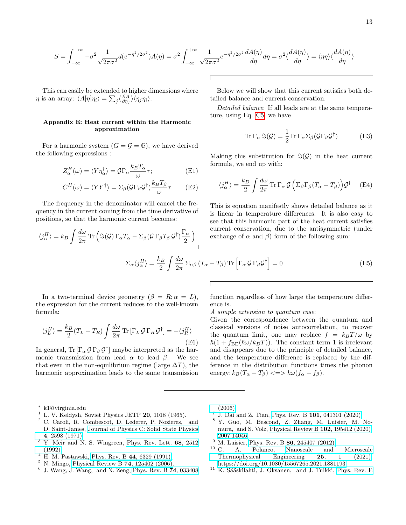$$
S = \int_{-\infty}^{+\infty} -\sigma^2 \frac{1}{\sqrt{2\pi\sigma^2}} d(e^{-\eta^2/2\sigma^2}) A(\eta) = \sigma^2 \int_{-\infty}^{+\infty} \frac{1}{\sqrt{2\pi\sigma^2}} e^{-\eta^2/2\sigma^2} \frac{dA(\eta)}{d\eta} d\eta = \sigma^2 \langle \frac{dA(\eta)}{d\eta} \rangle = \langle \eta \eta \rangle \langle \frac{dA(\eta)}{d\eta} \rangle
$$

This can easily be extended to higher dimensions where  $\eta$  is an array:  $\langle A[\eta]\eta_i \rangle = \sum_j \langle \frac{\partial A}{\partial \eta_j} \rangle \langle \eta_j \eta_i \rangle$ .

## <span id="page-12-12"></span>Appendix E: Heat current within the Harmonic approximation

For a harmonic system  $(G = \mathcal{G} = \mathbb{G})$ , we have derived the following expressions :

$$
Z_{\alpha}^{H}(\omega) = \langle Y \eta_{\alpha}^{\dagger} \rangle = \mathcal{G} \Gamma_{\alpha} \frac{k_{B} T_{\alpha}}{\omega} \tau; \tag{E1}
$$

$$
C^{H}(\omega) = \langle Y Y^{\dagger} \rangle = \Sigma_{\beta} (\mathcal{G} \Gamma_{\beta} \mathcal{G}^{\dagger}) \frac{k_{B} T_{\beta}}{\omega} \tau
$$
 (E2)

 $\frac{d\omega}{2\pi}\,{\rm Tr}\,\Bigl(\Im(\mathcal{G})\,\Gamma_\alpha T_\alpha-\Sigma_\beta(\mathcal{G}\,\Gamma_\beta T_\beta\,\mathcal{G}^\dagger)\frac{\Gamma_\alpha}{2}$ 

2  $\setminus$ 

The frequency in the denominator will cancel the frequency in the current coming from the time derivative of positions, so that the harmonic current becomes:

Below we will show that this current satisfies both detailed balance and current conservation.\n\n
$$
D = \frac{1}{2} \frac{1}{2} I_1 I_2 I_3
$$

Detailed balance: If all leads are at the same temperature, using Eq. [C5,](#page-10-2) we have

$$
\operatorname{Tr} \Gamma_{\alpha} \Im(\mathcal{G}) = \frac{1}{2} \operatorname{Tr} \Gamma_{\alpha} \Sigma_{\beta} (\mathcal{G} \Gamma_{\beta} \mathcal{G}^{\dagger})
$$
(E3)

Making this substitution for  $\Im(\mathcal{G})$  in the heat current formula, we end up with:

$$
\langle j_{\alpha}^{H} \rangle = \frac{k_{B}}{2} \int \frac{d\omega}{2\pi} \operatorname{Tr} \Gamma_{\alpha} \mathcal{G} \left( \Sigma_{\beta} \Gamma_{\beta} (T_{\alpha} - T_{\beta}) \right) \mathcal{G}^{\dagger} \quad \text{(E4)}
$$

This is equation manifestly shows detailed balance as it is linear in temperature differences. It is also easy to see that this harmonic part of the heat current satisfies current conservation, due to the antisymmetric (under exchange of  $\alpha$  and  $\beta$ ) form of the following sum:

$$
\Sigma_{\alpha} \langle j_{\alpha}^{H} \rangle = \frac{k_{B}}{2} \int \frac{d\omega}{2\pi} \Sigma_{\alpha\beta} (T_{\alpha} - T_{\beta}) \operatorname{Tr} \left[ \Gamma_{\alpha} \mathcal{G} \Gamma_{\beta} \mathcal{G}^{\dagger} \right] = 0
$$
 (E5)

In a two-terminal device geometry  $(\beta = R; \alpha = L)$ , the expression for the current reduces to the well-known formula:

$$
\langle j_L^H \rangle = \frac{k_B}{2} (T_L - T_R) \int \frac{d\omega}{2\pi} \text{Tr} \left[ \Gamma_L \mathcal{G} \Gamma_R \mathcal{G}^\dagger \right] = -\langle j_R^H \rangle \tag{E6}
$$

In general, Tr  $[\Gamma_{\alpha} \mathcal{G} \Gamma_{\beta} \mathcal{G}^{\dagger}]$  maybe interpreted as the harmonic transmission from lead  $\alpha$  to lead  $\beta$ . We see that even in the non-equilibrium regime (large  $\Delta T$ ), the harmonic approximation leads to the same transmission

function regardless of how large the temperature difference is.

A simple extension to quantum case:

Given the correspondence between the quantum and classical versions of noise autocorrelation, to recover the quantum limit, one may replace  $f = k_BT/\omega$  by  $\hbar(1 + f_{BE}(\hbar\omega/k_BT))$ . The constant term 1 is irrelevant and disappears due to the principle of detailed balance, and the temperature difference is replaced by the difference in the distribution functions times the phonon energy:  $k_B(T_\alpha - T_\beta) \leq \gg \hbar \omega (f_\alpha - f_\beta)$ .

 $\langle j^H_\alpha \rangle = k_B \int \frac{d\omega}{2\pi}$ 

- <span id="page-12-1"></span> $1$  L. V. Keldysh, Soviet Physics JETP 20, 1018 (1965).
- <span id="page-12-2"></span><sup>2</sup> C. Caroli, R. Combescot, D. Lederer, P. Nozieres, and D. Saint-James, [Journal of Physics C: Solid State Physics](http://dx.doi.org/ 10.1088/0022-3719/4/16/025) 4[, 2598 \(1971\).](http://dx.doi.org/ 10.1088/0022-3719/4/16/025)
- <span id="page-12-3"></span> $3$  Y. Meir and N. S. Wingreen, [Phys. Rev. Lett.](http://dx.doi.org/10.1103/PhysRevLett.68.2512)  $68$ ,  $2512$ [\(1992\).](http://dx.doi.org/10.1103/PhysRevLett.68.2512)
- <span id="page-12-4"></span> $4$  H. M. Pastawski, Phys. Rev. B 44[, 6329 \(1991\).](http://dx.doi.org/10.1103/PhysRevB.44.6329)
- <span id="page-12-5"></span><sup>5</sup> N. Mingo, [Physical Review B](http://dx.doi.org/10.1103/PhysRevB.74.125402) **74**,  $125402 (2006)$ .
- <span id="page-12-6"></span>6 J. Wang, J. Wang, and N. Zeng, [Phys. Rev. B](http://dx.doi.org/ 10.1103/PhysRevB.74.033408) 74, 033408

[\(2006\).](http://dx.doi.org/ 10.1103/PhysRevB.74.033408)

- <span id="page-12-7"></span>7 J. Dai and Z. Tian, Phys. Rev. B 101[, 041301 \(2020\).](http://dx.doi.org/10.1103/PhysRevB.101.041301)
- <span id="page-12-8"></span><sup>8</sup> Y. Guo, M. Bescond, Z. Zhang, M. Luisier, M. Nomura, and S. Volz, [Physical Review B](http://dx.doi.org/ 10.1103/PhysRevB.102.195412) 102, 195412 (2020), [2007.14046.](http://arxiv.org/abs/2007.14046)
- <span id="page-12-10"></span>
- <span id="page-12-9"></span> $^{9}$  M. Luisier, Phys. Rev. B 86[, 245407 \(2012\).](http://dx.doi.org/10.1103/PhysRevB.86.245407)<br><sup>10</sup> C A Polanco. Nanoscale and A. Polanco, [Nanoscale and Microscale](http://dx.doi.org/10.1080/15567265.2021.1881193) [Thermophysical Engineering](http://dx.doi.org/10.1080/15567265.2021.1881193) 25, 1 (2021), [https://doi.org/10.1080/15567265.2021.1881193.](http://arxiv.org/abs/https://doi.org/10.1080/15567265.2021.1881193)
- <span id="page-12-11"></span> $11$  K. Sääskilahti, J. Oksanen, and J. Tulkki, [Phys. Rev. E](http://dx.doi.org/10.1103/PhysRevE.88.012128)

<span id="page-12-0"></span><sup>∗</sup> k1@virginia.edu